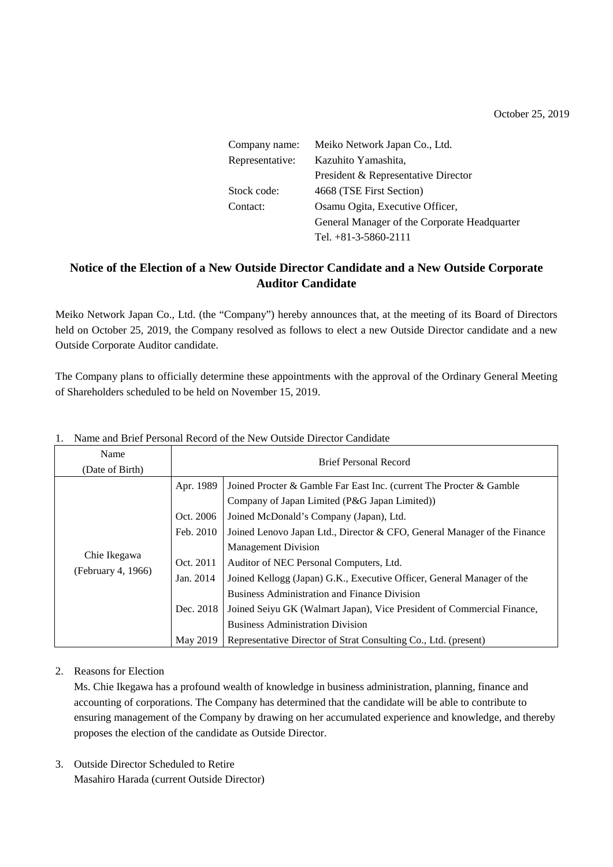October 25, 2019

| Company name:   | Meiko Network Japan Co., Ltd.                |  |
|-----------------|----------------------------------------------|--|
| Representative: | Kazuhito Yamashita,                          |  |
|                 | President & Representative Director          |  |
| Stock code:     | 4668 (TSE First Section)                     |  |
| Contact:        | Osamu Ogita, Executive Officer,              |  |
|                 | General Manager of the Corporate Headquarter |  |
|                 | Tel. $+81-3-5860-2111$                       |  |

# **Notice of the Election of a New Outside Director Candidate and a New Outside Corporate Auditor Candidate**

Meiko Network Japan Co., Ltd. (the "Company") hereby announces that, at the meeting of its Board of Directors held on October 25, 2019, the Company resolved as follows to elect a new Outside Director candidate and a new Outside Corporate Auditor candidate.

The Company plans to officially determine these appointments with the approval of the Ordinary General Meeting of Shareholders scheduled to be held on November 15, 2019.

| Name<br>(Date of Birth)            | <b>Brief Personal Record</b>                                  |                                                                                                                                                                                                                                                                                                                                                                                                |  |
|------------------------------------|---------------------------------------------------------------|------------------------------------------------------------------------------------------------------------------------------------------------------------------------------------------------------------------------------------------------------------------------------------------------------------------------------------------------------------------------------------------------|--|
| Chie Ikegawa<br>(February 4, 1966) | Apr. 1989<br>Oct. 2006<br>Feb. 2010<br>Oct. 2011<br>Jan. 2014 | Joined Procter & Gamble Far East Inc. (current The Procter & Gamble<br>Company of Japan Limited (P&G Japan Limited))<br>Joined McDonald's Company (Japan), Ltd.<br>Joined Lenovo Japan Ltd., Director & CFO, General Manager of the Finance<br><b>Management Division</b><br>Auditor of NEC Personal Computers, Ltd.<br>Joined Kellogg (Japan) G.K., Executive Officer, General Manager of the |  |
|                                    | Dec. 2018<br>May 2019                                         | <b>Business Administration and Finance Division</b><br>Joined Seiyu GK (Walmart Japan), Vice President of Commercial Finance,<br><b>Business Administration Division</b><br>Representative Director of Strat Consulting Co., Ltd. (present)                                                                                                                                                    |  |

#### 1. Name and Brief Personal Record of the New Outside Director Candidate

## 2. Reasons for Election

Ms. Chie Ikegawa has a profound wealth of knowledge in business administration, planning, finance and accounting of corporations. The Company has determined that the candidate will be able to contribute to ensuring management of the Company by drawing on her accumulated experience and knowledge, and thereby proposes the election of the candidate as Outside Director.

3. Outside Director Scheduled to Retire Masahiro Harada (current Outside Director)